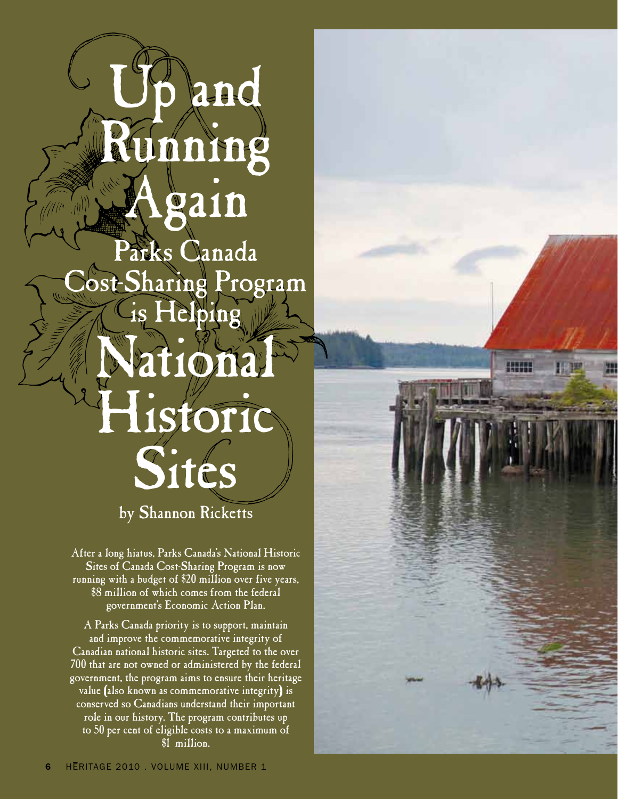# and Running Again Parks Canada Cost-Sharing Program is Helping National Historic **Sites** by Shannon Ricketts

**HENES** 

After a long hiatus, Parks Canada's National Historic Sites of Canada Cost-Sharing Program is now running with a budget of \$20 million over five years, \$8 million of which comes from the federal government's Economic Action Plan.

A Parks Canada priority is to support, maintain and improve the commemorative integrity of Canadian national historic sites. Targeted to the over 700 that are not owned or administered by the federal government, the program aims to ensure their heritage value (also known as commemorative integrity) is conserved so Canadians understand their important role in our history. The program contributes up to 50 per cent of eligible costs to a maximum of \$1 million.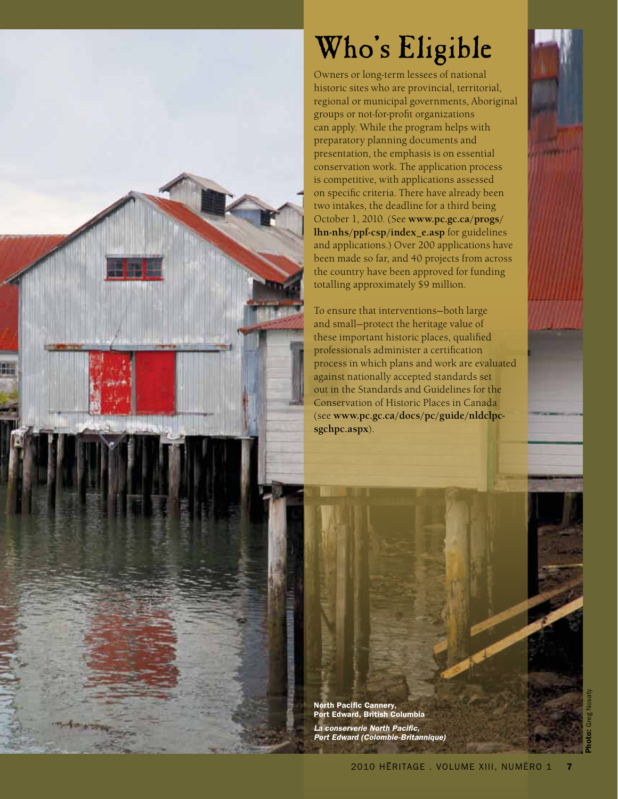

# Who's Eligible

Owners or long-term lessees of national historic sites who are provincial, territorial, regional or municipal governments, Aboriginal groups or not-for-profit organizations can apply. While the program helps with preparatory planning documents and presentation, the emphasis is on essential conservation work. The application process is competitive, with applications assessed on specific criteria. There have already been two intakes, the deadline for a third being October 1, 2010. (See **www.pc.gc.ca/progs/ lhn-nhs/ppf-csp/index\_e.asp** for guidelines and applications.) Over 200 applications have been made so far, and 40 projects from across the country have been approved for funding totalling approximately \$9 million.

To ensure that interventions—both large and small—protect the heritage value of these important historic places, qualified professionals administer a certification process in which plans and work are evaluated against nationally accepted standards set out in the Standards and Guidelines for the Conservation of Historic Places in Canada (see **www.pc.gc.ca/docs/pc/guide/nldclpcsgchpc.aspx**).

North Pacific Cannery, Port Edward, British Columbia *La conserverie North Pacific, Port Edward (Colombie-Britannique)*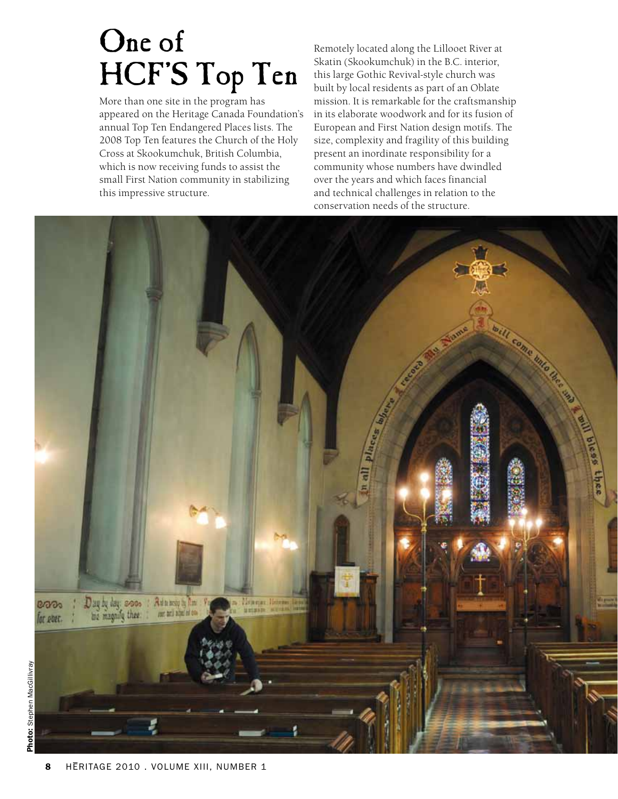# One of HCF'S Top Ten

More than one site in the program has appeared on the Heritage Canada Foundation's annual Top Ten Endangered Places lists. The 2008 Top Ten features the Church of the Holy Cross at Skookumchuk, British Columbia, which is now receiving funds to assist the small First Nation community in stabilizing this impressive structure.

Remotely located along the Lillooet River at Skatin (Skookumchuk) in the B.C. interior, this large Gothic Revival-style church was built by local residents as part of an Oblate mission. It is remarkable for the craftsmanship in its elaborate woodwork and for its fusion of European and First Nation design motifs. The size, complexity and fragility of this building present an inordinate responsibility for a community whose numbers have dwindled over the years and which faces financial and technical challenges in relation to the conservation needs of the structure.

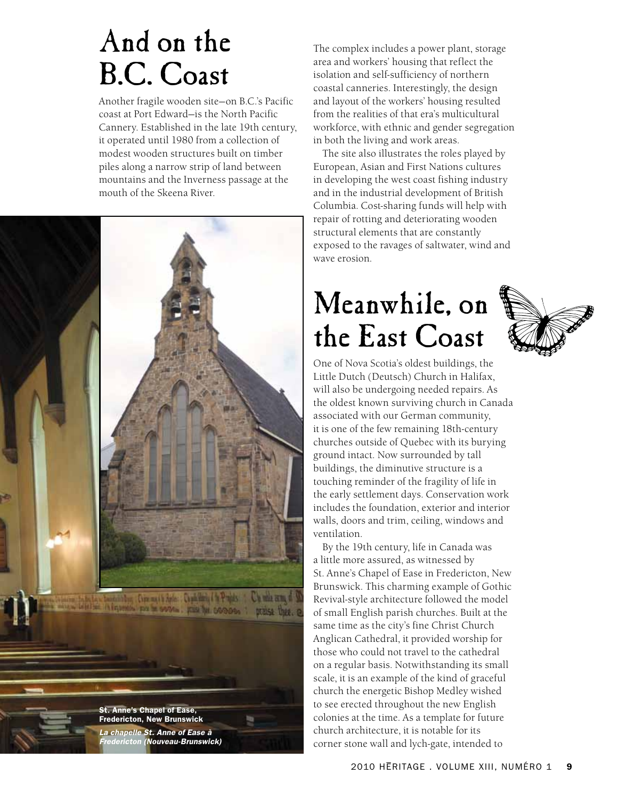#### And on the B.C. Coast

Another fragile wooden site—on B.C.'s Pacific coast at Port Edward—is the North Pacific Cannery. Established in the late 19th century, it operated until 1980 from a collection of modest wooden structures built on timber piles along a narrow strip of land between mountains and the Inverness passage at the mouth of the Skeena River.



The complex includes a power plant, storage area and workers' housing that reflect the isolation and self-sufficiency of northern coastal canneries. Interestingly, the design and layout of the workers' housing resulted from the realities of that era's multicultural workforce, with ethnic and gender segregation in both the living and work areas.

The site also illustrates the roles played by European, Asian and First Nations cultures in developing the west coast fishing industry and in the industrial development of British Columbia. Cost-sharing funds will help with repair of rotting and deteriorating wooden structural elements that are constantly exposed to the ravages of saltwater, wind and wave erosion.

# Meanwhile, on the East Coast



One of Nova Scotia's oldest buildings, the Little Dutch (Deutsch) Church in Halifax, will also be undergoing needed repairs. As the oldest known surviving church in Canada associated with our German community, it is one of the few remaining 18th-century churches outside of Quebec with its burying ground intact. Now surrounded by tall buildings, the diminutive structure is a touching reminder of the fragility of life in the early settlement days. Conservation work includes the foundation, exterior and interior walls, doors and trim, ceiling, windows and ventilation.

By the 19th century, life in Canada was a little more assured, as witnessed by St. Anne's Chapel of Ease in Fredericton, New Brunswick. This charming example of Gothic Revival-style architecture followed the model of small English parish churches. Built at the same time as the city's fine Christ Church Anglican Cathedral, it provided worship for those who could not travel to the cathedral on a regular basis. Notwithstanding its small scale, it is an example of the kind of graceful church the energetic Bishop Medley wished to see erected throughout the new English colonies at the time. As a template for future church architecture, it is notable for its corner stone wall and lych-gate, intended to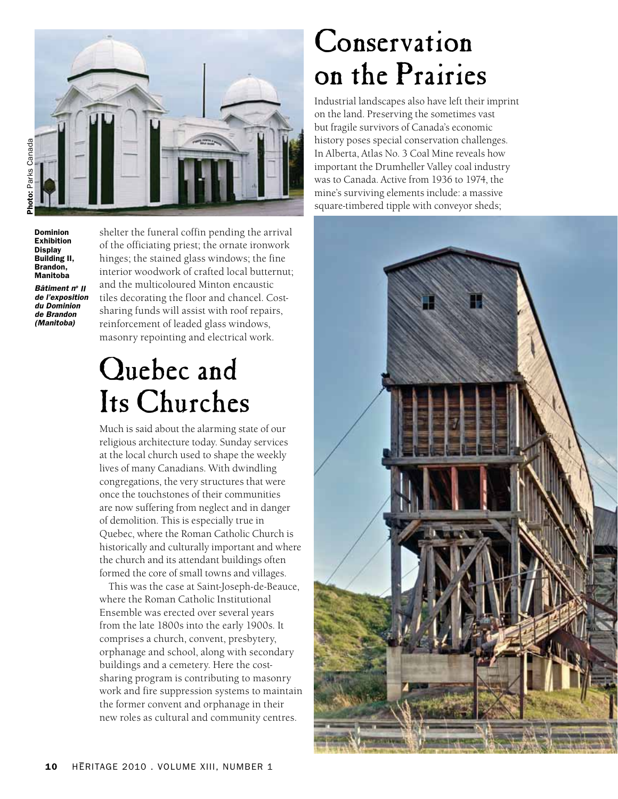

Dominion Exhibition **Display** Building II, Brandon, Manitoba

*Bâtiment no II de l'exposition du Dominion de Brandon (Manitoba)*

shelter the funeral coffin pending the arrival of the officiating priest; the ornate ironwork hinges; the stained glass windows; the fine interior woodwork of crafted local butternut; and the multicoloured Minton encaustic tiles decorating the floor and chancel. Costsharing funds will assist with roof repairs, reinforcement of leaded glass windows, masonry repointing and electrical work.

#### Quebec and Its Churches

Much is said about the alarming state of our religious architecture today. Sunday services at the local church used to shape the weekly lives of many Canadians. With dwindling congregations, the very structures that were once the touchstones of their communities are now suffering from neglect and in danger of demolition. This is especially true in Quebec, where the Roman Catholic Church is historically and culturally important and where the church and its attendant buildings often formed the core of small towns and villages.

This was the case at Saint-Joseph-de-Beauce, where the Roman Catholic Institutional Ensemble was erected over several years from the late 1800s into the early 1900s. It comprises a church, convent, presbytery, orphanage and school, along with secondary buildings and a cemetery. Here the costsharing program is contributing to masonry work and fire suppression systems to maintain the former convent and orphanage in their new roles as cultural and community centres.

#### **Conservation** on the Prairies

Industrial landscapes also have left their imprint on the land. Preserving the sometimes vast but fragile survivors of Canada's economic history poses special conservation challenges. In Alberta, Atlas No. 3 Coal Mine reveals how important the Drumheller Valley coal industry was to Canada. Active from 1936 to 1974, the mine's surviving elements include: a massive square-timbered tipple with conveyor sheds;

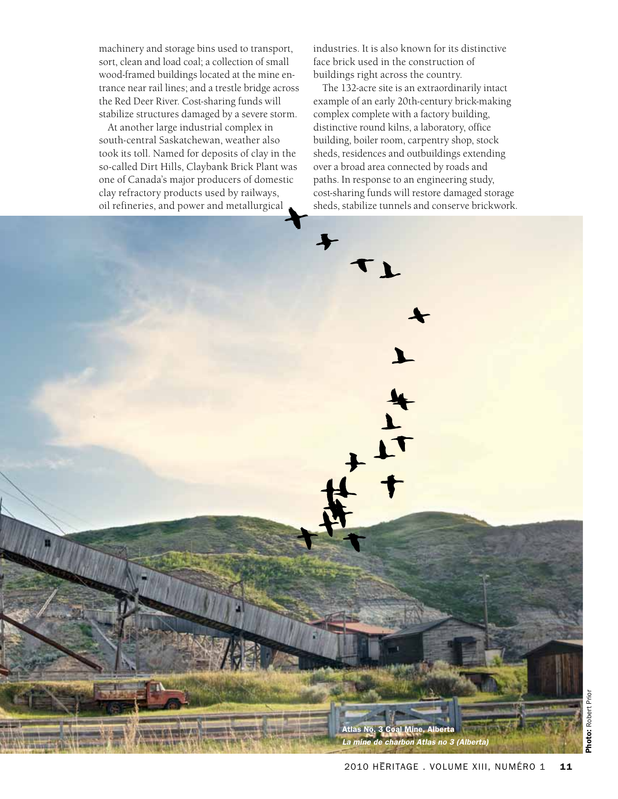machinery and storage bins used to transport, sort, clean and load coal; a collection of small wood-framed buildings located at the mine entrance near rail lines; and a trestle bridge across the Red Deer River. Cost-sharing funds will stabilize structures damaged by a severe storm.

At another large industrial complex in south-central Saskatchewan, weather also took its toll. Named for deposits of clay in the so-called Dirt Hills, Claybank Brick Plant was one of Canada's major producers of domestic clay refractory products used by railways, oil refineries, and power and metallurgical

industries. It is also known for its distinctive face brick used in the construction of buildings right across the country.

The 132-acre site is an extraordinarily intact example of an early 20th-century brick-making complex complete with a factory building, distinctive round kilns, a laboratory, office building, boiler room, carpentry shop, stock sheds, residences and outbuildings extending over a broad area connected by roads and paths. In response to an engineering study, cost-sharing funds will restore damaged storage sheds, stabilize tunnels and conserve brickwork.

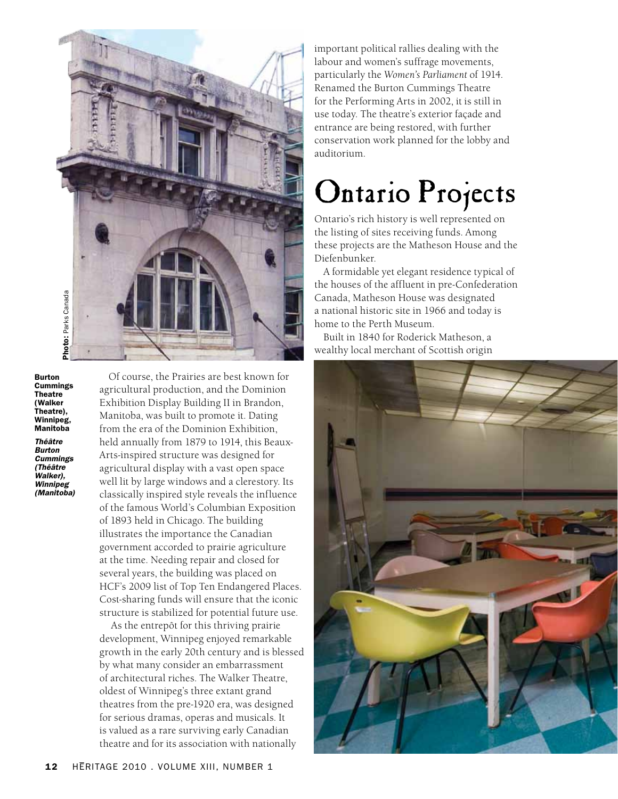

Burton Cummings Theatre (Walker Theatre), Winnipeg, Manitoba

*Théâtre Burton Cummings (Théâtre Walker), Winnipeg (Manitoba)*

Of course, the Prairies are best known for agricultural production, and the Dominion Exhibition Display Building II in Brandon, Manitoba, was built to promote it. Dating from the era of the Dominion Exhibition, held annually from 1879 to 1914, this Beaux-Arts-inspired structure was designed for agricultural display with a vast open space well lit by large windows and a clerestory. Its classically inspired style reveals the influence of the famous World's Columbian Exposition of 1893 held in Chicago. The building illustrates the importance the Canadian government accorded to prairie agriculture at the time. Needing repair and closed for several years, the building was placed on HCF's 2009 list of Top Ten Endangered Places. Cost-sharing funds will ensure that the iconic structure is stabilized for potential future use.

 As the entrepôt for this thriving prairie development, Winnipeg enjoyed remarkable growth in the early 20th century and is blessed by what many consider an embarrassment of architectural riches. The Walker Theatre, oldest of Winnipeg's three extant grand theatres from the pre-1920 era, was designed for serious dramas, operas and musicals. It is valued as a rare surviving early Canadian theatre and for its association with nationally

important political rallies dealing with the labour and women's suffrage movements, particularly the *Women's Parliament* of 1914. Renamed the Burton Cummings Theatre for the Performing Arts in 2002, it is still in use today. The theatre's exterior façade and entrance are being restored, with further conservation work planned for the lobby and auditorium.

# Ontario Projects

Ontario's rich history is well represented on the listing of sites receiving funds. Among these projects are the Matheson House and the Diefenbunker.

A formidable yet elegant residence typical of the houses of the affluent in pre-Confederation Canada, Matheson House was designated a national historic site in 1966 and today is home to the Perth Museum.

Built in 1840 for Roderick Matheson, a wealthy local merchant of Scottish origin